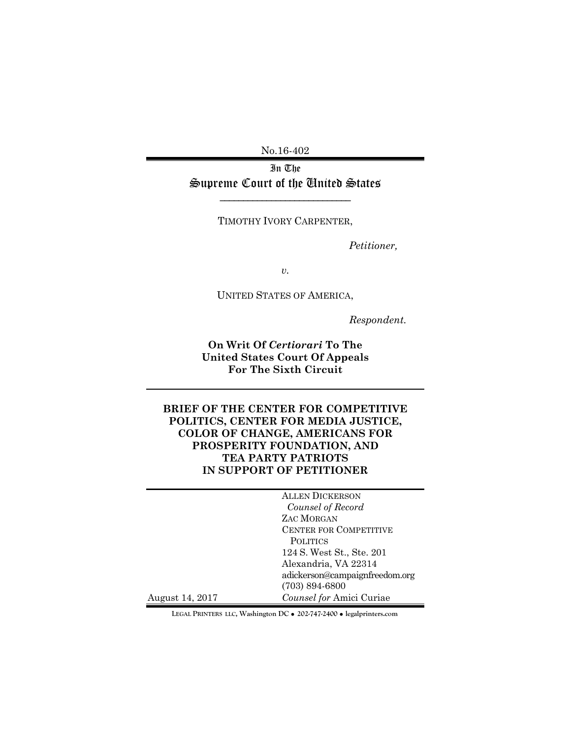No.16-402

In The Supreme Court of the Tnited States

TIMOTHY IVORY CARPENTER,

*Petitioner,* 

*v.* 

UNITED STATES OF AMERICA,

*Respondent.* 

**On Writ Of** *Certiorari* **To The United States Court Of Appeals For The Sixth Circuit** 

**BRIEF OF THE CENTER FOR COMPETITIVE POLITICS, CENTER FOR MEDIA JUSTICE, COLOR OF CHANGE, AMERICANS FOR PROSPERITY FOUNDATION, AND TEA PARTY PATRIOTS IN SUPPORT OF PETITIONER** 

|                 | <b>ALLEN DICKERSON</b>         |
|-----------------|--------------------------------|
|                 | Counsel of Record              |
|                 | ZAC MORGAN                     |
|                 | <b>CENTER FOR COMPETITIVE</b>  |
|                 | <b>POLITICS</b>                |
|                 | 124 S. West St., Ste. 201      |
|                 | Alexandria, VA 22314           |
|                 | adickerson@campaignfreedom.org |
|                 | $(703) 894 - 6800$             |
| August 14, 2017 | Counsel for Amici Curiae       |

**LEGAL PRINTERS LLC, Washington DC** ! **202-747-2400** ! **legalprinters.com**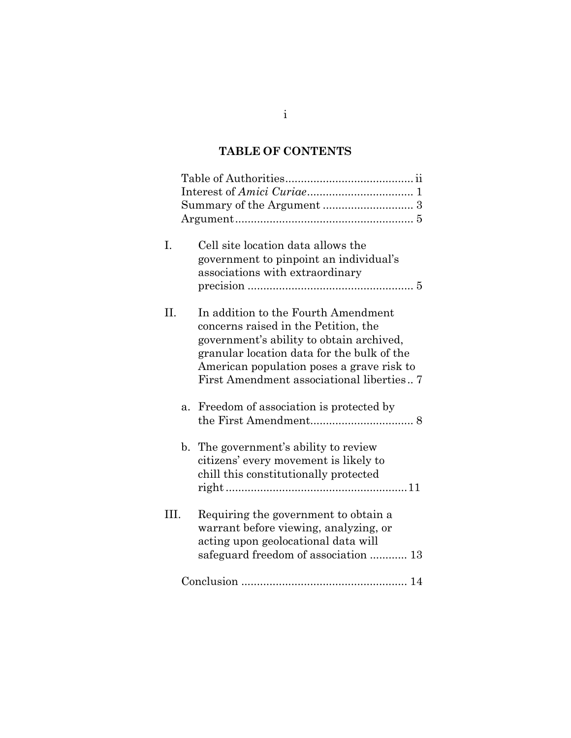# **TABLE OF CONTENTS**

| I.   |                | Cell site location data allows the         |  |
|------|----------------|--------------------------------------------|--|
|      |                | government to pinpoint an individual's     |  |
|      |                | associations with extraordinary            |  |
|      |                |                                            |  |
|      |                |                                            |  |
| H.   |                | In addition to the Fourth Amendment        |  |
|      |                | concerns raised in the Petition, the       |  |
|      |                | government's ability to obtain archived,   |  |
|      |                | granular location data for the bulk of the |  |
|      |                | American population poses a grave risk to  |  |
|      |                | First Amendment associational liberties    |  |
|      | a.             | Freedom of association is protected by     |  |
|      |                |                                            |  |
|      |                |                                            |  |
|      | $\mathbf{b}$ . | The government's ability to review         |  |
|      |                | citizens' every movement is likely to      |  |
|      |                | chill this constitutionally protected      |  |
|      |                |                                            |  |
| III. |                | Requiring the government to obtain a       |  |
|      |                | warrant before viewing, analyzing, or      |  |
|      |                |                                            |  |
|      |                | acting upon geolocational data will        |  |
|      |                | safeguard freedom of association  13       |  |
|      |                |                                            |  |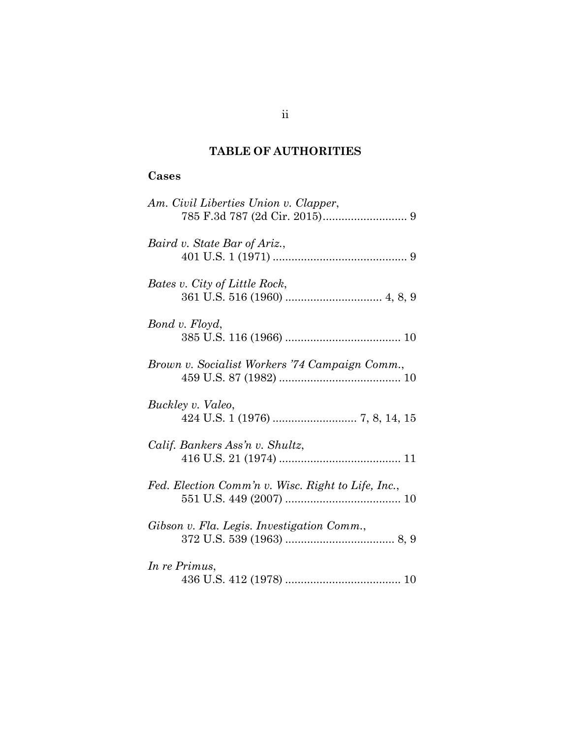# **TABLE OF AUTHORITIES**

# **Cases**

| Am. Civil Liberties Union v. Clapper,              |
|----------------------------------------------------|
| Baird v. State Bar of Ariz.,                       |
| Bates v. City of Little Rock,                      |
| Bond v. Floyd,                                     |
| Brown v. Socialist Workers '74 Campaign Comm.,     |
| Buckley v. Valeo,                                  |
| Calif. Bankers Ass'n v. Shultz,                    |
| Fed. Election Comm'n v. Wisc. Right to Life, Inc., |
| Gibson v. Fla. Legis. Investigation Comm.,         |
| In re Primus,                                      |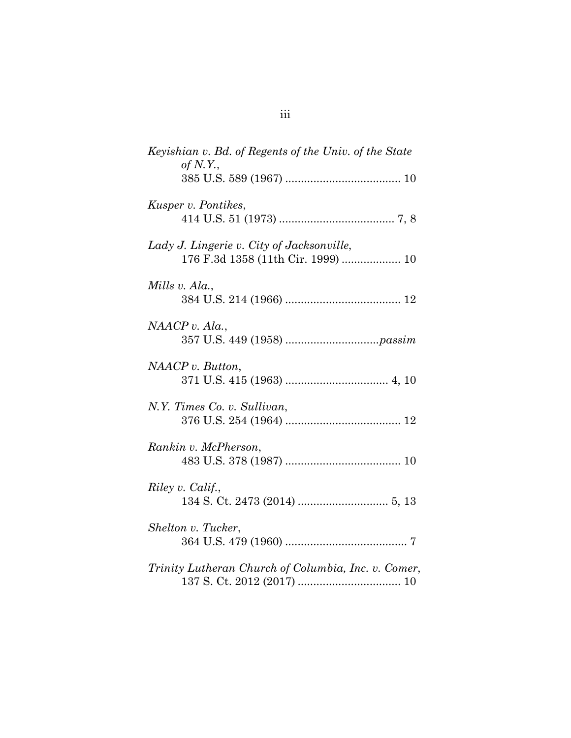| Keyishian v. Bd. of Regents of the Univ. of the State<br>of $N.Y.$              |
|---------------------------------------------------------------------------------|
|                                                                                 |
| Kusper v. Pontikes,                                                             |
| Lady J. Lingerie v. City of Jacksonville,<br>176 F.3d 1358 (11th Cir. 1999)  10 |
| Mills v. Ala.,                                                                  |
| NAACP v. Ala.                                                                   |
| NAACP v. Button,                                                                |
| N.Y. Times Co. v. Sullivan,                                                     |
| Rankin v. McPherson,                                                            |
| Riley v. Calif.,                                                                |
| Shelton v. Tucker,                                                              |
| Trinity Lutheran Church of Columbia, Inc. v. Comer,                             |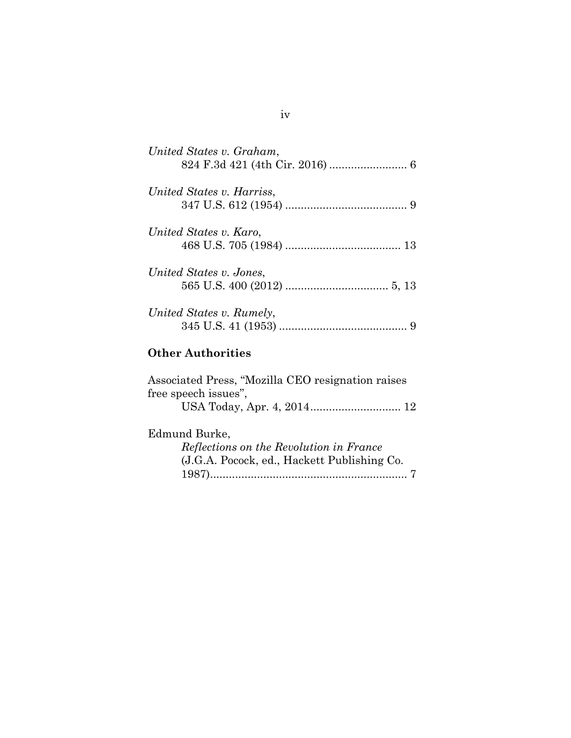| United States v. Graham,  |
|---------------------------|
| United States v. Harriss, |
|                           |
| United States v. Karo,    |
|                           |
| United States v. Jones.   |
|                           |
| United States v. Rumely,  |
|                           |
| <b>Other Authorities</b>  |

| Associated Press, "Mozilla CEO resignation raises |  |  |
|---------------------------------------------------|--|--|
| free speech issues",                              |  |  |
|                                                   |  |  |
| Edmund Burke,                                     |  |  |
| Reflections on the Revolution in France           |  |  |
| (J.G.A. Pocock, ed., Hackett Publishing Co.       |  |  |
|                                                   |  |  |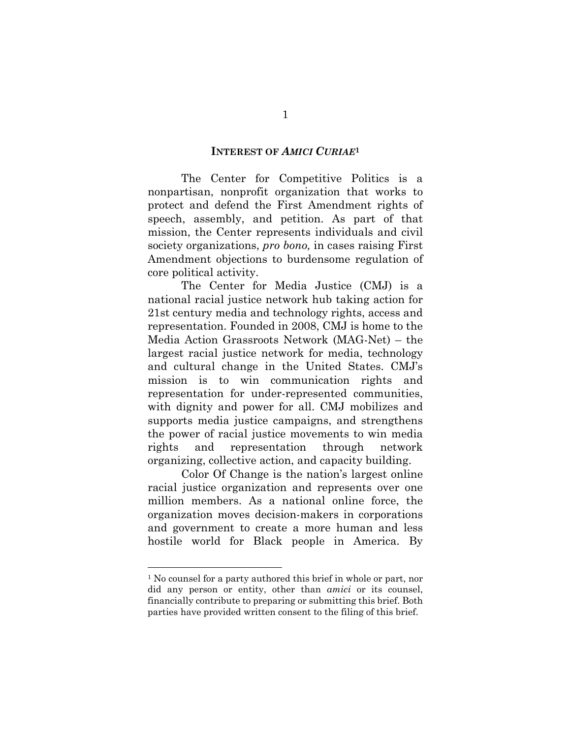### **INTEREST OF** *AMICI CURIAE***<sup>1</sup>**

 The Center for Competitive Politics is a nonpartisan, nonprofit organization that works to protect and defend the First Amendment rights of speech, assembly, and petition. As part of that mission, the Center represents individuals and civil society organizations, *pro bono,* in cases raising First Amendment objections to burdensome regulation of core political activity.

The Center for Media Justice (CMJ) is a national racial justice network hub taking action for 21st century media and technology rights, access and representation. Founded in 2008, CMJ is home to the Media Action Grassroots Network (MAG-Net) – the largest racial justice network for media, technology and cultural change in the United States. CMJ's mission is to win communication rights and representation for under-represented communities, with dignity and power for all. CMJ mobilizes and supports media justice campaigns, and strengthens the power of racial justice movements to win media rights and representation through network organizing, collective action, and capacity building.

Color Of Change is the nation's largest online racial justice organization and represents over one million members. As a national online force, the organization moves decision-makers in corporations and government to create a more human and less hostile world for Black people in America. By

<sup>1</sup> No counsel for a party authored this brief in whole or part, nor did any person or entity, other than *amici* or its counsel, financially contribute to preparing or submitting this brief. Both parties have provided written consent to the filing of this brief.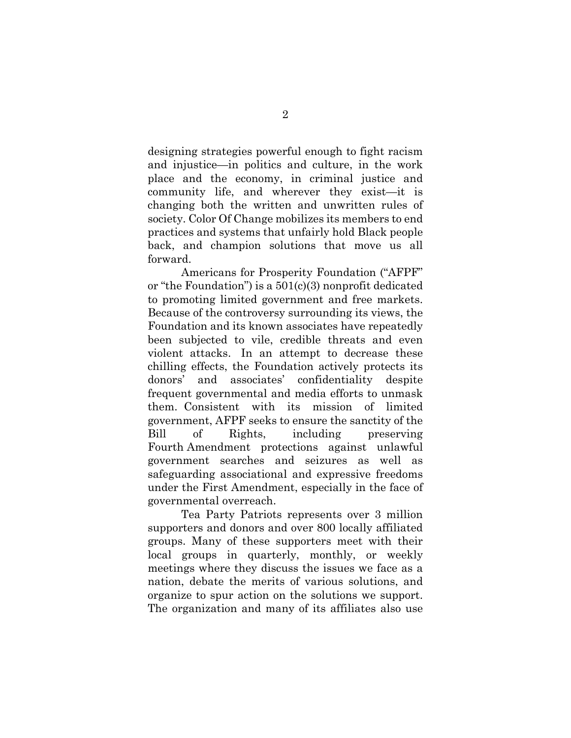designing strategies powerful enough to fight racism and injustice—in politics and culture, in the work place and the economy, in criminal justice and community life, and wherever they exist—it is changing both the written and unwritten rules of society. Color Of Change mobilizes its members to end practices and systems that unfairly hold Black people back, and champion solutions that move us all forward.

Americans for Prosperity Foundation ("AFPF" or "the Foundation") is a 501(c)(3) nonprofit dedicated to promoting limited government and free markets. Because of the controversy surrounding its views, the Foundation and its known associates have repeatedly been subjected to vile, credible threats and even violent attacks. In an attempt to decrease these chilling effects, the Foundation actively protects its donors' and associates' confidentiality despite frequent governmental and media efforts to unmask them. Consistent with its mission of limited government, AFPF seeks to ensure the sanctity of the Bill of Rights, including preserving Fourth Amendment protections against unlawful government searches and seizures as well as safeguarding associational and expressive freedoms under the First Amendment, especially in the face of governmental overreach.

Tea Party Patriots represents over 3 million supporters and donors and over 800 locally affiliated groups. Many of these supporters meet with their local groups in quarterly, monthly, or weekly meetings where they discuss the issues we face as a nation, debate the merits of various solutions, and organize to spur action on the solutions we support. The organization and many of its affiliates also use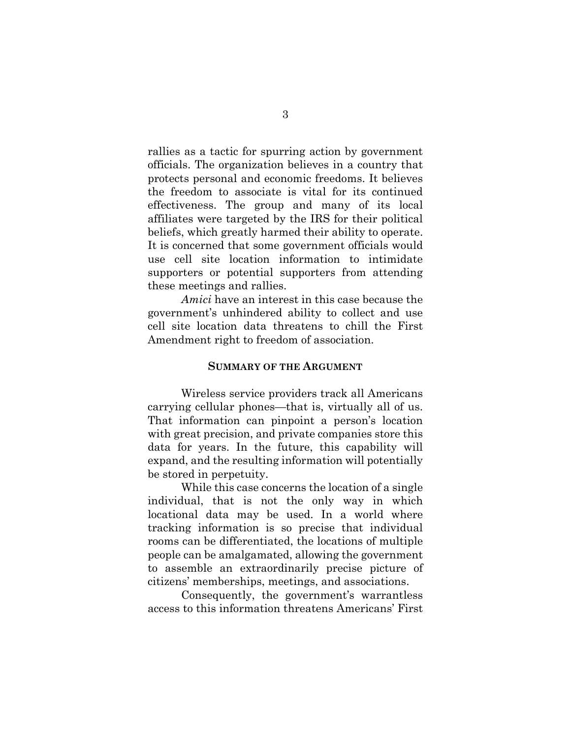rallies as a tactic for spurring action by government officials. The organization believes in a country that protects personal and economic freedoms. It believes the freedom to associate is vital for its continued effectiveness. The group and many of its local affiliates were targeted by the IRS for their political beliefs, which greatly harmed their ability to operate. It is concerned that some government officials would use cell site location information to intimidate supporters or potential supporters from attending these meetings and rallies.

*Amici* have an interest in this case because the government's unhindered ability to collect and use cell site location data threatens to chill the First Amendment right to freedom of association.

#### **SUMMARY OF THE ARGUMENT**

 Wireless service providers track all Americans carrying cellular phones—that is, virtually all of us. That information can pinpoint a person's location with great precision, and private companies store this data for years. In the future, this capability will expand, and the resulting information will potentially be stored in perpetuity.

 While this case concerns the location of a single individual, that is not the only way in which locational data may be used. In a world where tracking information is so precise that individual rooms can be differentiated, the locations of multiple people can be amalgamated, allowing the government to assemble an extraordinarily precise picture of citizens' memberships, meetings, and associations.

 Consequently, the government's warrantless access to this information threatens Americans' First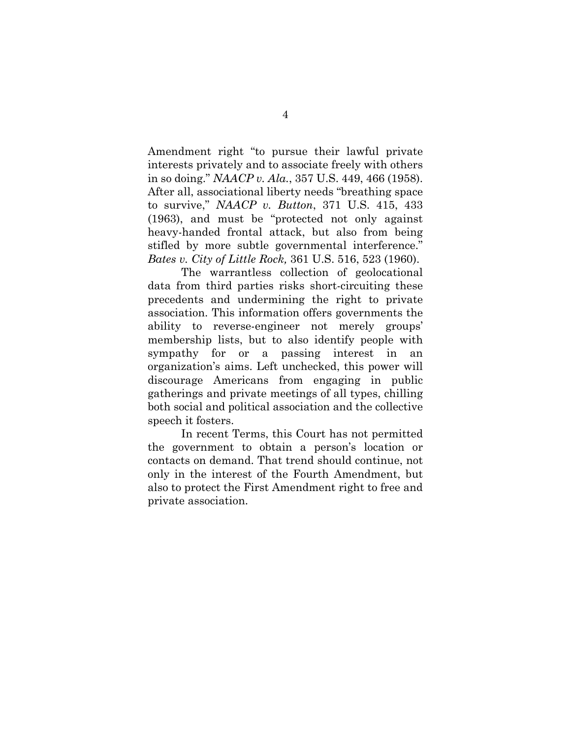Amendment right "to pursue their lawful private interests privately and to associate freely with others in so doing." *NAACP v. Ala.*, 357 U.S. 449, 466 (1958). After all, associational liberty needs "breathing space to survive," *NAACP v. Button*, 371 U.S. 415, 433 (1963), and must be "protected not only against heavy-handed frontal attack, but also from being stifled by more subtle governmental interference." *Bates v. City of Little Rock,* 361 U.S. 516, 523 (1960).

 The warrantless collection of geolocational data from third parties risks short-circuiting these precedents and undermining the right to private association. This information offers governments the ability to reverse-engineer not merely groups' membership lists, but to also identify people with sympathy for or a passing interest in an organization's aims. Left unchecked, this power will discourage Americans from engaging in public gatherings and private meetings of all types, chilling both social and political association and the collective speech it fosters.

 In recent Terms, this Court has not permitted the government to obtain a person's location or contacts on demand. That trend should continue, not only in the interest of the Fourth Amendment, but also to protect the First Amendment right to free and private association.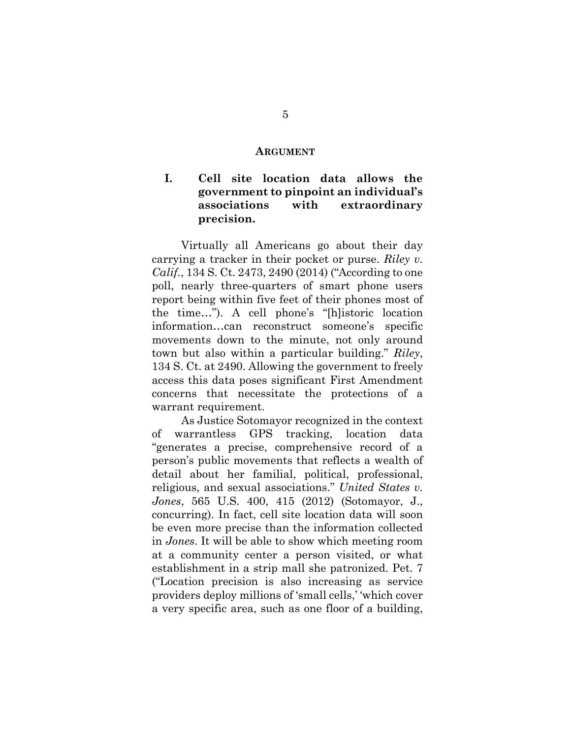#### **ARGUMENT**

# **I. Cell site location data allows the government to pinpoint an individual's associations with extraordinary precision.**

Virtually all Americans go about their day carrying a tracker in their pocket or purse. *Riley v. Calif.*, 134 S. Ct. 2473, 2490 (2014) ("According to one poll, nearly three-quarters of smart phone users report being within five feet of their phones most of the time…"). A cell phone's "[h]istoric location information…can reconstruct someone's specific movements down to the minute, not only around town but also within a particular building." *Riley*, 134 S. Ct. at 2490. Allowing the government to freely access this data poses significant First Amendment concerns that necessitate the protections of a warrant requirement.

As Justice Sotomayor recognized in the context of warrantless GPS tracking, location data "generates a precise, comprehensive record of a person's public movements that reflects a wealth of detail about her familial, political, professional, religious, and sexual associations." *United States v. Jones*, 565 U.S. 400, 415 (2012) (Sotomayor, J., concurring). In fact, cell site location data will soon be even more precise than the information collected in *Jones*. It will be able to show which meeting room at a community center a person visited, or what establishment in a strip mall she patronized. Pet. 7 ("Location precision is also increasing as service providers deploy millions of 'small cells,' 'which cover a very specific area, such as one floor of a building,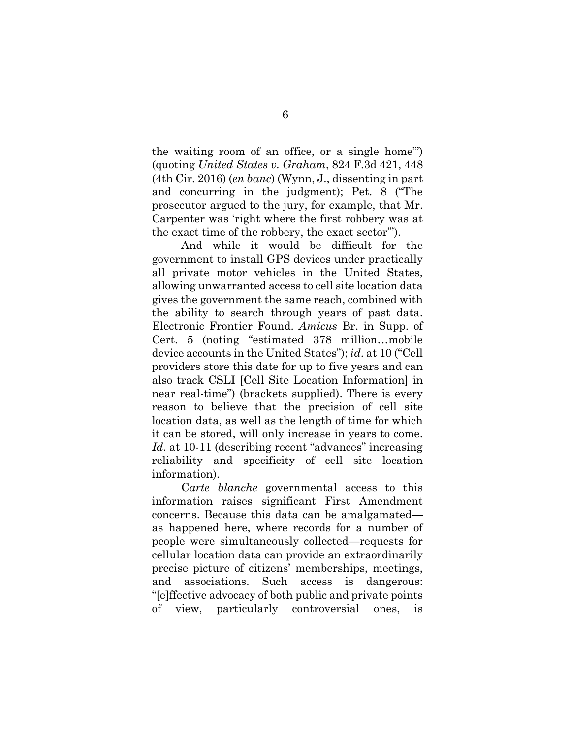the waiting room of an office, or a single home'") (quoting *United States v. Graham*, 824 F.3d 421, 448 (4th Cir. 2016) (*en banc*) (Wynn, J., dissenting in part and concurring in the judgment); Pet. 8 ("The prosecutor argued to the jury, for example, that Mr. Carpenter was 'right where the first robbery was at the exact time of the robbery, the exact sector'").

And while it would be difficult for the government to install GPS devices under practically all private motor vehicles in the United States, allowing unwarranted access to cell site location data gives the government the same reach, combined with the ability to search through years of past data. Electronic Frontier Found. *Amicus* Br. in Supp. of Cert. 5 (noting "estimated 378 million…mobile device accounts in the United States"); *id*. at 10 ("Cell providers store this date for up to five years and can also track CSLI [Cell Site Location Information] in near real-time") (brackets supplied). There is every reason to believe that the precision of cell site location data, as well as the length of time for which it can be stored, will only increase in years to come. *Id.* at 10-11 (describing recent "advances" increasing reliability and specificity of cell site location information).

C*arte blanche* governmental access to this information raises significant First Amendment concerns. Because this data can be amalgamated as happened here, where records for a number of people were simultaneously collected—requests for cellular location data can provide an extraordinarily precise picture of citizens' memberships, meetings, and associations. Such access is dangerous: "[e]ffective advocacy of both public and private points of view, particularly controversial ones, is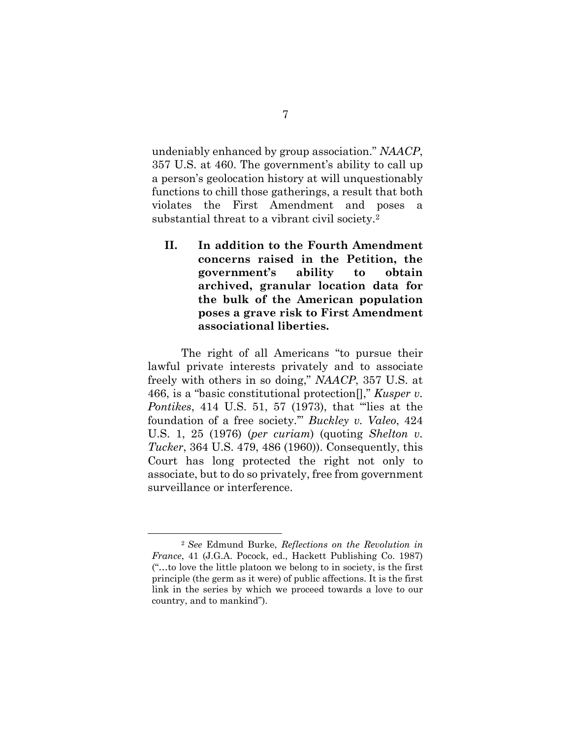undeniably enhanced by group association." *NAACP*, 357 U.S. at 460. The government's ability to call up a person's geolocation history at will unquestionably functions to chill those gatherings, a result that both violates the First Amendment and poses a substantial threat to a vibrant civil society.2

**II. In addition to the Fourth Amendment concerns raised in the Petition, the government's ability to obtain archived, granular location data for the bulk of the American population poses a grave risk to First Amendment associational liberties.** 

The right of all Americans "to pursue their lawful private interests privately and to associate freely with others in so doing," *NAACP*, 357 U.S. at 466, is a "basic constitutional protection[]," *Kusper v. Pontikes*, 414 U.S. 51, 57 (1973), that "'lies at the foundation of a free society.'" *Buckley v. Valeo*, 424 U.S. 1, 25 (1976) (*per curiam*) (quoting *Shelton v. Tucker*, 364 U.S. 479, 486 (1960)). Consequently, this Court has long protected the right not only to associate, but to do so privately, free from government surveillance or interference.

 <sup>2</sup> *See* Edmund Burke, *Reflections on the Revolution in France*, 41 (J.G.A. Pocock, ed., Hackett Publishing Co. 1987) ("…to love the little platoon we belong to in society, is the first principle (the germ as it were) of public affections. It is the first link in the series by which we proceed towards a love to our country, and to mankind").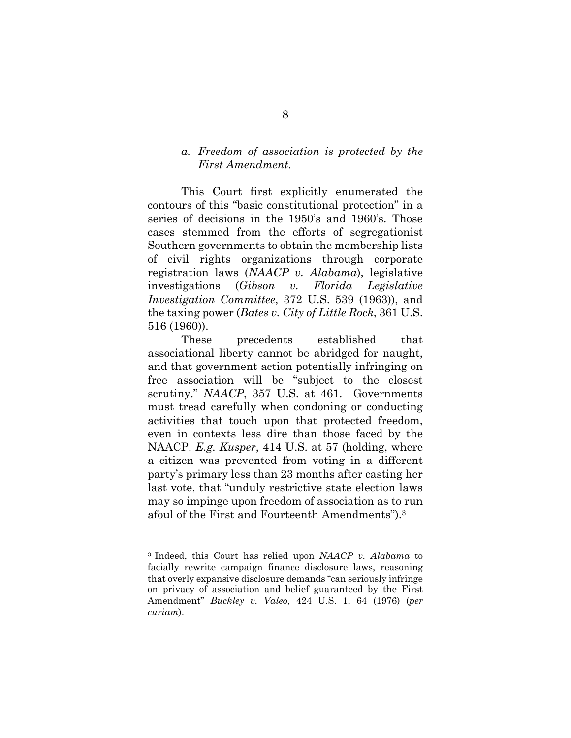## *a. Freedom of association is protected by the First Amendment.*

This Court first explicitly enumerated the contours of this "basic constitutional protection" in a series of decisions in the 1950's and 1960's. Those cases stemmed from the efforts of segregationist Southern governments to obtain the membership lists of civil rights organizations through corporate registration laws (*NAACP v. Alabama*), legislative investigations (*Gibson v. Florida Legislative Investigation Committee*, 372 U.S. 539 (1963)), and the taxing power (*Bates v. City of Little Rock*, 361 U.S. 516 (1960)).

These precedents established that associational liberty cannot be abridged for naught, and that government action potentially infringing on free association will be "subject to the closest scrutiny." *NAACP*, 357 U.S. at 461. Governments must tread carefully when condoning or conducting activities that touch upon that protected freedom, even in contexts less dire than those faced by the NAACP. *E.g. Kusper*, 414 U.S. at 57 (holding, where a citizen was prevented from voting in a different party's primary less than 23 months after casting her last vote, that "unduly restrictive state election laws may so impinge upon freedom of association as to run afoul of the First and Fourteenth Amendments").3

<sup>3</sup> Indeed, this Court has relied upon *NAACP v. Alabama* to facially rewrite campaign finance disclosure laws, reasoning that overly expansive disclosure demands "can seriously infringe on privacy of association and belief guaranteed by the First Amendment" *Buckley v. Valeo*, 424 U.S. 1, 64 (1976) (*per curiam*).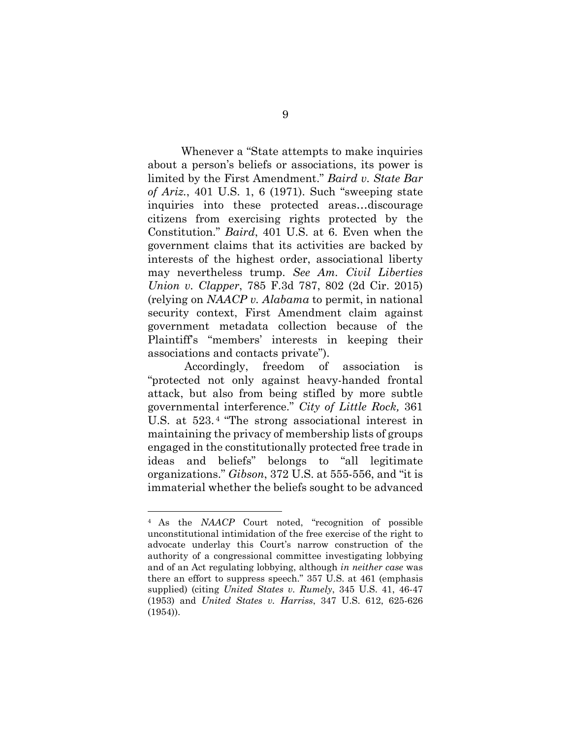Whenever a "State attempts to make inquiries about a person's beliefs or associations, its power is limited by the First Amendment." *Baird v. State Bar of Ariz.*, 401 U.S. 1, 6 (1971). Such "sweeping state inquiries into these protected areas…discourage citizens from exercising rights protected by the Constitution." *Baird*, 401 U.S. at 6. Even when the government claims that its activities are backed by interests of the highest order, associational liberty may nevertheless trump. *See Am. Civil Liberties Union v. Clapper*, 785 F.3d 787, 802 (2d Cir. 2015) (relying on *NAACP v. Alabama* to permit, in national security context, First Amendment claim against government metadata collection because of the Plaintiff's "members' interests in keeping their associations and contacts private").

Accordingly, freedom of association is "protected not only against heavy-handed frontal attack, but also from being stifled by more subtle governmental interference." *City of Little Rock,* 361 U.S. at 523. 4 "The strong associational interest in maintaining the privacy of membership lists of groups engaged in the constitutionally protected free trade in ideas and beliefs" belongs to "all legitimate organizations." *Gibson*, 372 U.S. at 555-556, and "it is immaterial whether the beliefs sought to be advanced

l

<sup>4</sup> As the *NAACP* Court noted, "recognition of possible unconstitutional intimidation of the free exercise of the right to advocate underlay this Court's narrow construction of the authority of a congressional committee investigating lobbying and of an Act regulating lobbying, although *in neither case* was there an effort to suppress speech." 357 U.S. at 461 (emphasis supplied) (citing *United States v. Rumely*, 345 U.S. 41, 46-47 (1953) and *United States v. Harriss*, 347 U.S. 612, 625-626 (1954)).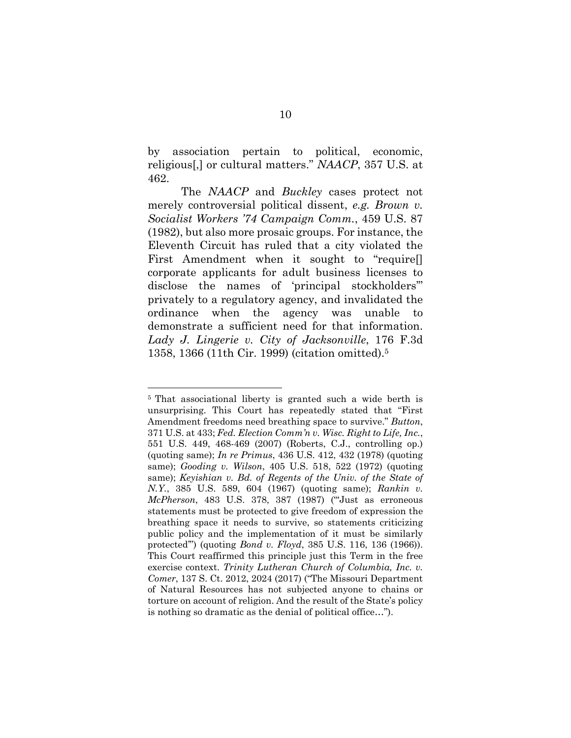by association pertain to political, economic, religious[,] or cultural matters." *NAACP*, 357 U.S. at 462.

The *NAACP* and *Buckley* cases protect not merely controversial political dissent, *e.g. Brown v. Socialist Workers '74 Campaign Comm.*, 459 U.S. 87 (1982), but also more prosaic groups. For instance, the Eleventh Circuit has ruled that a city violated the First Amendment when it sought to "require[] corporate applicants for adult business licenses to disclose the names of 'principal stockholders'" privately to a regulatory agency, and invalidated the ordinance when the agency was unable to demonstrate a sufficient need for that information. *Lady J. Lingerie v. City of Jacksonville*, 176 F.3d 1358, 1366 (11th Cir. 1999) (citation omitted).5

<sup>5</sup> That associational liberty is granted such a wide berth is unsurprising. This Court has repeatedly stated that "First Amendment freedoms need breathing space to survive." *Button*, 371 U.S. at 433; *Fed. Election Comm'n v. Wisc. Right to Life, Inc.*, 551 U.S. 449, 468-469 (2007) (Roberts, C.J., controlling op.) (quoting same); *In re Primus*, 436 U.S. 412, 432 (1978) (quoting same); *Gooding v. Wilson*, 405 U.S. 518, 522 (1972) (quoting same); *Keyishian v. Bd. of Regents of the Univ. of the State of N.Y.*, 385 U.S. 589, 604 (1967) (quoting same); *Rankin v. McPherson*, 483 U.S. 378, 387 (1987) ("'Just as erroneous statements must be protected to give freedom of expression the breathing space it needs to survive, so statements criticizing public policy and the implementation of it must be similarly protected'") (quoting *Bond v. Floyd*, 385 U.S. 116, 136 (1966)). This Court reaffirmed this principle just this Term in the free exercise context. *Trinity Lutheran Church of Columbia, Inc. v. Comer*, 137 S. Ct. 2012, 2024 (2017) ("The Missouri Department of Natural Resources has not subjected anyone to chains or torture on account of religion. And the result of the State's policy is nothing so dramatic as the denial of political office…").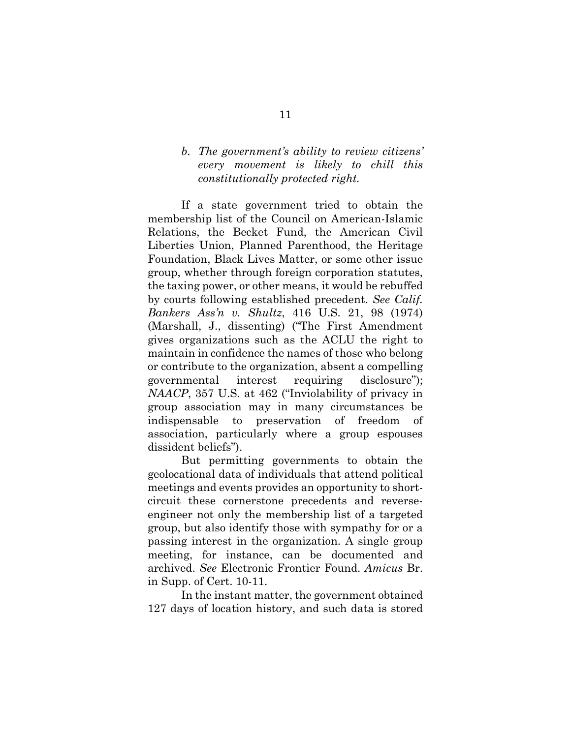# *b. The government's ability to review citizens' every movement is likely to chill this constitutionally protected right.*

If a state government tried to obtain the membership list of the Council on American-Islamic Relations, the Becket Fund, the American Civil Liberties Union, Planned Parenthood, the Heritage Foundation, Black Lives Matter, or some other issue group, whether through foreign corporation statutes, the taxing power, or other means, it would be rebuffed by courts following established precedent. *See Calif. Bankers Ass'n v. Shultz*, 416 U.S. 21, 98 (1974) (Marshall, J., dissenting) ("The First Amendment gives organizations such as the ACLU the right to maintain in confidence the names of those who belong or contribute to the organization, absent a compelling governmental interest requiring disclosure"); *NAACP*, 357 U.S. at 462 ("Inviolability of privacy in group association may in many circumstances be indispensable to preservation of freedom of association, particularly where a group espouses dissident beliefs").

But permitting governments to obtain the geolocational data of individuals that attend political meetings and events provides an opportunity to shortcircuit these cornerstone precedents and reverseengineer not only the membership list of a targeted group, but also identify those with sympathy for or a passing interest in the organization. A single group meeting, for instance, can be documented and archived. *See* Electronic Frontier Found. *Amicus* Br. in Supp. of Cert. 10-11.

In the instant matter, the government obtained 127 days of location history, and such data is stored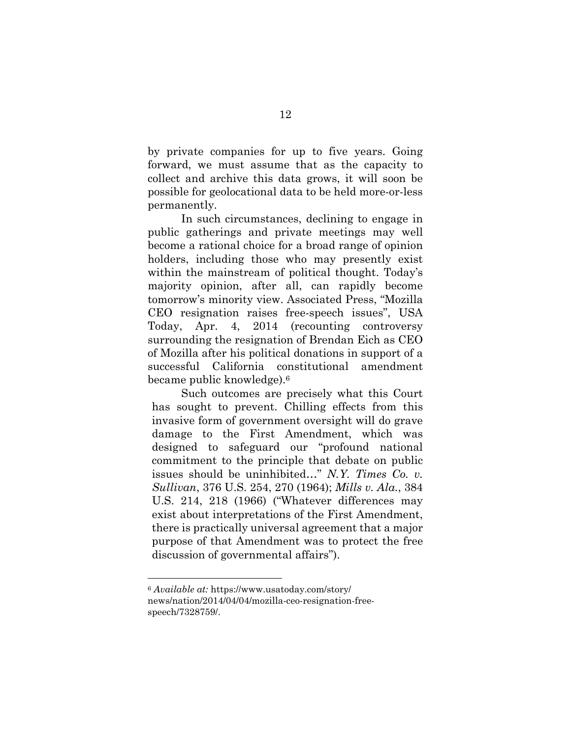by private companies for up to five years. Going forward, we must assume that as the capacity to collect and archive this data grows, it will soon be possible for geolocational data to be held more-or-less permanently.

In such circumstances, declining to engage in public gatherings and private meetings may well become a rational choice for a broad range of opinion holders, including those who may presently exist within the mainstream of political thought. Today's majority opinion, after all, can rapidly become tomorrow's minority view. Associated Press, "Mozilla CEO resignation raises free-speech issues", USA Today, Apr. 4, 2014 (recounting controversy surrounding the resignation of Brendan Eich as CEO of Mozilla after his political donations in support of a successful California constitutional amendment became public knowledge).6

Such outcomes are precisely what this Court has sought to prevent. Chilling effects from this invasive form of government oversight will do grave damage to the First Amendment, which was designed to safeguard our "profound national commitment to the principle that debate on public issues should be uninhibited…" *N.Y. Times Co. v. Sullivan*, 376 U.S. 254, 270 (1964); *Mills v. Ala.*, 384 U.S. 214, 218 (1966) ("Whatever differences may exist about interpretations of the First Amendment, there is practically universal agreement that a major purpose of that Amendment was to protect the free discussion of governmental affairs").

<sup>6</sup> *Available at:* https://www.usatoday.com/story/ news/nation/2014/04/04/mozilla-ceo-resignation-freespeech/7328759/.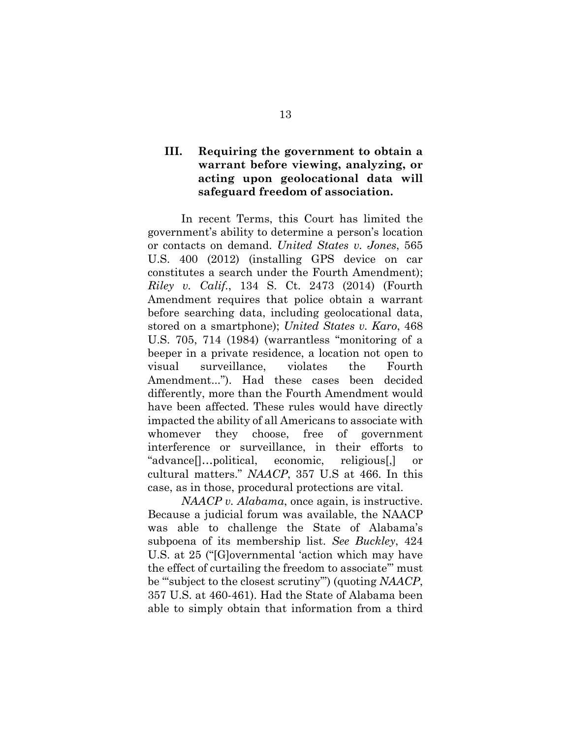# **III. Requiring the government to obtain a warrant before viewing, analyzing, or acting upon geolocational data will safeguard freedom of association.**

In recent Terms, this Court has limited the government's ability to determine a person's location or contacts on demand. *United States v. Jones*, 565 U.S. 400 (2012) (installing GPS device on car constitutes a search under the Fourth Amendment); *Riley v. Calif.*, 134 S. Ct. 2473 (2014) (Fourth Amendment requires that police obtain a warrant before searching data, including geolocational data, stored on a smartphone); *United States v. Karo*, 468 U.S. 705, 714 (1984) (warrantless "monitoring of a beeper in a private residence, a location not open to visual surveillance, violates the Fourth Amendment..."). Had these cases been decided differently, more than the Fourth Amendment would have been affected. These rules would have directly impacted the ability of all Americans to associate with whomever they choose, free of government interference or surveillance, in their efforts to "advance[]…political, economic, religious[,] or cultural matters." *NAACP*, 357 U.S at 466. In this case, as in those, procedural protections are vital.

*NAACP v. Alabama*, once again, is instructive. Because a judicial forum was available, the NAACP was able to challenge the State of Alabama's subpoena of its membership list. *See Buckley*, 424 U.S. at 25 ("[G]overnmental 'action which may have the effect of curtailing the freedom to associate'" must be "'subject to the closest scrutiny'") (quoting *NAACP*, 357 U.S. at 460-461). Had the State of Alabama been able to simply obtain that information from a third